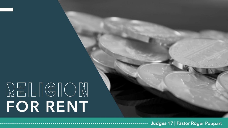## $\mathbb{R}^{\Xi}{\mathbb{L}}\mathbb{IG}(\mathbb{G}{\mathbb{C}}{\mathbb{N}})$ FOR RENT

Judges 17 | Pastor Roger Poupart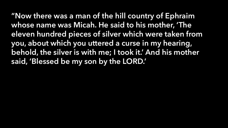"Now there was a man of the hill country of Ephraim whose name was Micah. He said to his mother, 'The eleven hundred pieces of silver which were taken from you, about which you uttered a curse in my hearing, behold, the silver is with me; I took it.' And his mother said, 'Blessed be my son by the LORD.'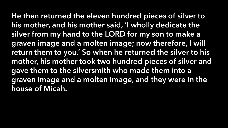He then returned the eleven hundred pieces of silver to his mother, and his mother said, 'I wholly dedicate the silver from my hand to the LORD for my son to make a graven image and a molten image; now therefore, I will return them to you.' So when he returned the silver to his mother, his mother took two hundred pieces of silver and gave them to the silversmith who made them into a graven image and a molten image, and they were in the house of Micah.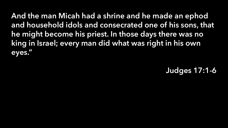And the man Micah had a shrine and he made an ephod and household idols and consecrated one of his sons, that he might become his priest. In those days there was no king in Israel; every man did what was right in his own eyes."

Judges 17:1-6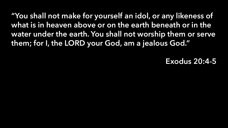"You shall not make for yourself an idol, or any likeness of what is in heaven above or on the earth beneath or in the water under the earth. You shall not worship them or serve them; for I, the LORD your God, am a jealous God."

Exodus 20:4-5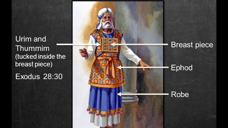Urim and Thummim (tucked inside the breast piece) **Exodus 28:30** 

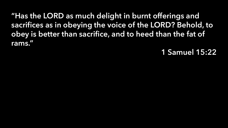"Has the LORD as much delight in burnt offerings and sacrifices as in obeying the voice of the LORD? Behold, to obey is better than sacrifice, and to heed than the fat of rams."

## 1 Samuel 15:22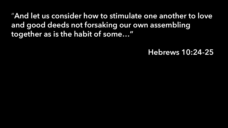"And let us consider how to stimulate one another to love and good deeds not forsaking our own assembling together as is the habit of some…"

## Hebrews 10:24-25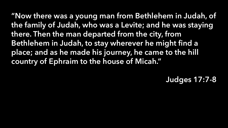"Now there was a young man from Bethlehem in Judah, of the family of Judah, who was a Levite; and he was staying there. Then the man departed from the city, from Bethlehem in Judah, to stay wherever he might find a place; and as he made his journey, he came to the hill country of Ephraim to the house of Micah."

Judges 17:7-8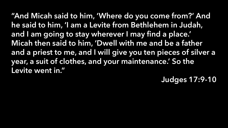"And Micah said to him, 'Where do you come from?' And he said to him, 'I am a Levite from Bethlehem in Judah, and I am going to stay wherever I may find a place.' Micah then said to him, 'Dwell with me and be a father and a priest to me, and I will give you ten pieces of silver a year, a suit of clothes, and your maintenance.' So the Levite went in."

Judges 17:9-10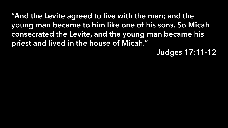"And the Levite agreed to live with the man; and the young man became to him like one of his sons. So Micah consecrated the Levite, and the young man became his priest and lived in the house of Micah."

Judges 17:11-12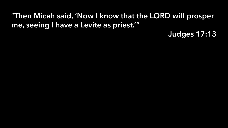## "Then Micah said, 'Now I know that the LORD will prosper me, seeing I have a Levite as priest.'"

Judges 17:13